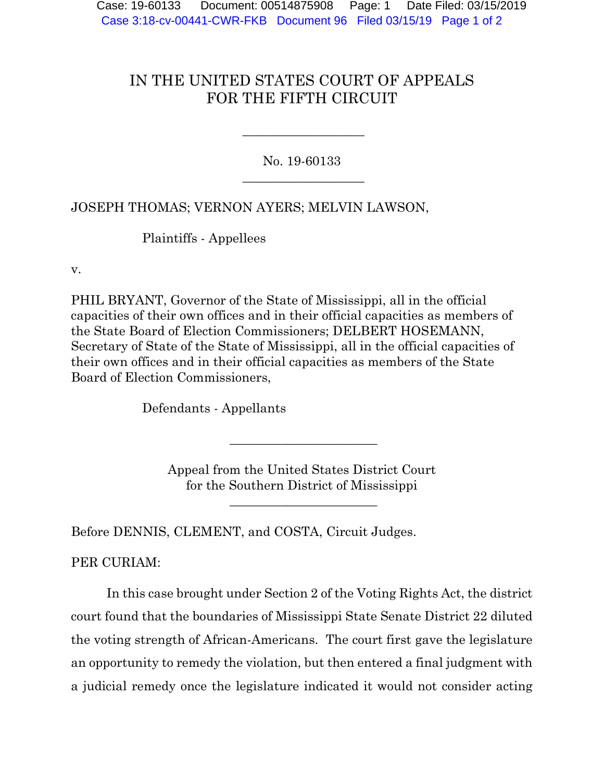## IN THE UNITED STATES COURT OF APPEALS FOR THE FIFTH CIRCUIT

No. 19-60133  $\overline{\phantom{a}}$  , where  $\overline{\phantom{a}}$  , where  $\overline{\phantom{a}}$  , where  $\overline{\phantom{a}}$  , where  $\overline{\phantom{a}}$ 

 $\overline{\phantom{a}}$  , where  $\overline{\phantom{a}}$  , where  $\overline{\phantom{a}}$  , where  $\overline{\phantom{a}}$  , where  $\overline{\phantom{a}}$ 

JOSEPH THOMAS; VERNON AYERS; MELVIN LAWSON,

Plaintiffs - Appellees

v.

PHIL BRYANT, Governor of the State of Mississippi, all in the official capacities of their own offices and in their official capacities as members of the State Board of Election Commissioners; DELBERT HOSEMANN, Secretary of State of the State of Mississippi, all in the official capacities of their own offices and in their official capacities as members of the State Board of Election Commissioners,

Defendants - Appellants

Appeal from the United States District Court for the Southern District of Mississippi

\_\_\_\_\_\_\_\_\_\_\_\_\_\_\_\_\_\_\_\_\_\_\_

\_\_\_\_\_\_\_\_\_\_\_\_\_\_\_\_\_\_\_\_\_\_\_

Before DENNIS, CLEMENT, and COSTA, Circuit Judges.

PER CURIAM:

In this case brought under Section 2 of the Voting Rights Act, the district court found that the boundaries of Mississippi State Senate District 22 diluted the voting strength of African-Americans. The court first gave the legislature an opportunity to remedy the violation, but then entered a final judgment with a judicial remedy once the legislature indicated it would not consider acting